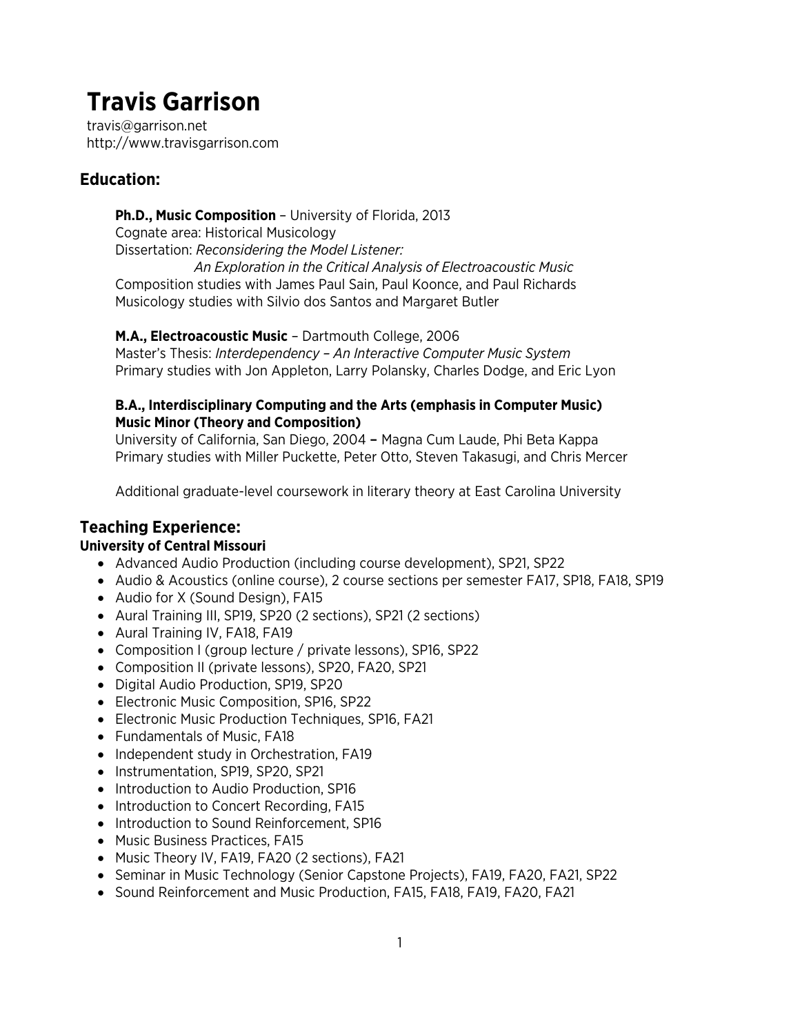travis@garrison.net http://www.travisgarrison.com

# **Education:**

**Ph.D., Music Composition** – University of Florida, 2013 Cognate area: Historical Musicology Dissertation: *Reconsidering the Model Listener: An Exploration in the Critical Analysis of Electroacoustic Music* Composition studies with James Paul Sain, Paul Koonce, and Paul Richards Musicology studies with Silvio dos Santos and Margaret Butler

**M.A., Electroacoustic Music** – Dartmouth College, 2006

Master's Thesis: *Interdependency – An Interactive Computer Music System* Primary studies with Jon Appleton, Larry Polansky, Charles Dodge, and Eric Lyon

#### **B.A., Interdisciplinary Computing and the Arts (emphasis in Computer Music) Music Minor (Theory and Composition)**

University of California, San Diego, 2004 – Magna Cum Laude, Phi Beta Kappa Primary studies with Miller Puckette, Peter Otto, Steven Takasugi, and Chris Mercer

Additional graduate-level coursework in literary theory at East Carolina University

# **Teaching Experience:**

#### **University of Central Missouri**

- Advanced Audio Production (including course development), SP21, SP22
- Audio & Acoustics (online course), 2 course sections per semester FA17, SP18, FA18, SP19
- Audio for X (Sound Design), FA15
- Aural Training III, SP19, SP20 (2 sections), SP21 (2 sections)
- Aural Training IV, FA18, FA19
- Composition I (group lecture / private lessons), SP16, SP22
- Composition II (private lessons), SP20, FA20, SP21
- Digital Audio Production, SP19, SP20
- Electronic Music Composition, SP16, SP22
- Electronic Music Production Techniques, SP16, FA21
- Fundamentals of Music, FA18
- Independent study in Orchestration, FA19
- Instrumentation, SP19, SP20, SP21
- Introduction to Audio Production, SP16
- Introduction to Concert Recording, FA15
- Introduction to Sound Reinforcement, SP16
- Music Business Practices, FA15
- Music Theory IV, FA19, FA20 (2 sections), FA21
- Seminar in Music Technology (Senior Capstone Projects), FA19, FA20, FA21, SP22
- Sound Reinforcement and Music Production, FA15, FA18, FA19, FA20, FA21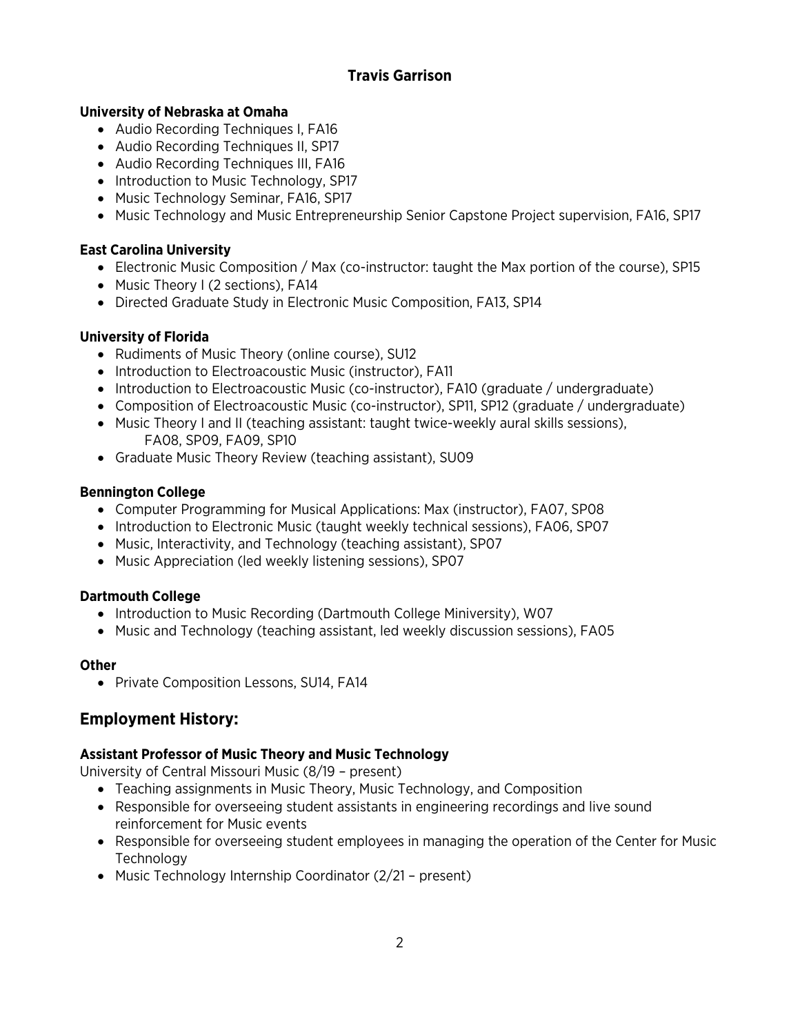#### **University of Nebraska at Omaha**

- Audio Recording Techniques I, FA16
- Audio Recording Techniques II, SP17
- Audio Recording Techniques III, FA16
- Introduction to Music Technology, SP17
- Music Technology Seminar, FA16, SP17
- Music Technology and Music Entrepreneurship Senior Capstone Project supervision, FA16, SP17

#### **East Carolina University**

- Electronic Music Composition / Max (co-instructor: taught the Max portion of the course), SP15
- Music Theory I (2 sections), FA14
- Directed Graduate Study in Electronic Music Composition, FA13, SP14

#### **University of Florida**

- Rudiments of Music Theory (online course), SU12
- Introduction to Electroacoustic Music (instructor), FA11
- Introduction to Electroacoustic Music (co-instructor), FA10 (graduate / undergraduate)
- Composition of Electroacoustic Music (co-instructor), SP11, SP12 (graduate / undergraduate)
- Music Theory I and II (teaching assistant: taught twice-weekly aural skills sessions), FA08, SP09, FA09, SP10
- Graduate Music Theory Review (teaching assistant), SU09

#### **Bennington College**

- Computer Programming for Musical Applications: Max (instructor), FA07, SP08
- Introduction to Electronic Music (taught weekly technical sessions), FA06, SP07
- Music, Interactivity, and Technology (teaching assistant), SP07
- Music Appreciation (led weekly listening sessions), SP07

#### **Dartmouth College**

- Introduction to Music Recording (Dartmouth College Miniversity), W07
- Music and Technology (teaching assistant, led weekly discussion sessions), FA05

#### **Other**

• Private Composition Lessons, SU14, FA14

# **Employment History:**

#### **Assistant Professor of Music Theory and Music Technology**

University of Central Missouri Music (8/19 – present)

- Teaching assignments in Music Theory, Music Technology, and Composition
- Responsible for overseeing student assistants in engineering recordings and live sound reinforcement for Music events
- Responsible for overseeing student employees in managing the operation of the Center for Music **Technology**
- Music Technology Internship Coordinator (2/21 present)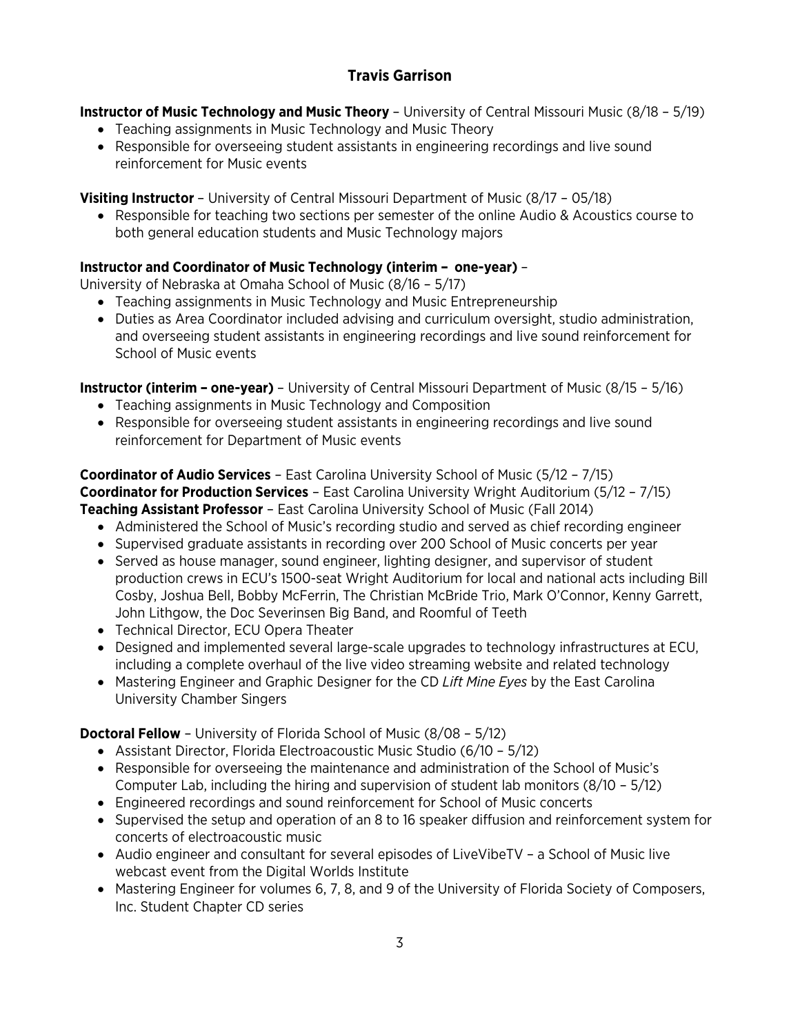**Instructor of Music Technology and Music Theory** – University of Central Missouri Music (8/18 – 5/19)

- Teaching assignments in Music Technology and Music Theory
- Responsible for overseeing student assistants in engineering recordings and live sound reinforcement for Music events

**Visiting Instructor** – University of Central Missouri Department of Music (8/17 – 05/18)

• Responsible for teaching two sections per semester of the online Audio & Acoustics course to both general education students and Music Technology majors

# **Instructor and Coordinator of Music Technology (interim – one-year)** –

University of Nebraska at Omaha School of Music (8/16 – 5/17)

- Teaching assignments in Music Technology and Music Entrepreneurship
- Duties as Area Coordinator included advising and curriculum oversight, studio administration, and overseeing student assistants in engineering recordings and live sound reinforcement for School of Music events

**Instructor (interim – one-year)** – University of Central Missouri Department of Music (8/15 – 5/16)

- Teaching assignments in Music Technology and Composition
- Responsible for overseeing student assistants in engineering recordings and live sound reinforcement for Department of Music events

**Coordinator of Audio Services** – East Carolina University School of Music (5/12 – 7/15) **Coordinator for Production Services** – East Carolina University Wright Auditorium (5/12 – 7/15) **Teaching Assistant Professor** – East Carolina University School of Music (Fall 2014)

- Administered the School of Music's recording studio and served as chief recording engineer
- Supervised graduate assistants in recording over 200 School of Music concerts per year
- Served as house manager, sound engineer, lighting designer, and supervisor of student production crews in ECU's 1500-seat Wright Auditorium for local and national acts including Bill Cosby, Joshua Bell, Bobby McFerrin, The Christian McBride Trio, Mark O'Connor, Kenny Garrett, John Lithgow, the Doc Severinsen Big Band, and Roomful of Teeth
- Technical Director, ECU Opera Theater
- Designed and implemented several large-scale upgrades to technology infrastructures at ECU, including a complete overhaul of the live video streaming website and related technology
- Mastering Engineer and Graphic Designer for the CD *Lift Mine Eyes* by the East Carolina University Chamber Singers

**Doctoral Fellow** – University of Florida School of Music (8/08 – 5/12)

- Assistant Director, Florida Electroacoustic Music Studio (6/10 5/12)
- Responsible for overseeing the maintenance and administration of the School of Music's Computer Lab, including the hiring and supervision of student lab monitors (8/10 – 5/12)
- Engineered recordings and sound reinforcement for School of Music concerts
- Supervised the setup and operation of an 8 to 16 speaker diffusion and reinforcement system for concerts of electroacoustic music
- Audio engineer and consultant for several episodes of LiveVibeTV a School of Music live webcast event from the Digital Worlds Institute
- Mastering Engineer for volumes 6, 7, 8, and 9 of the University of Florida Society of Composers, Inc. Student Chapter CD series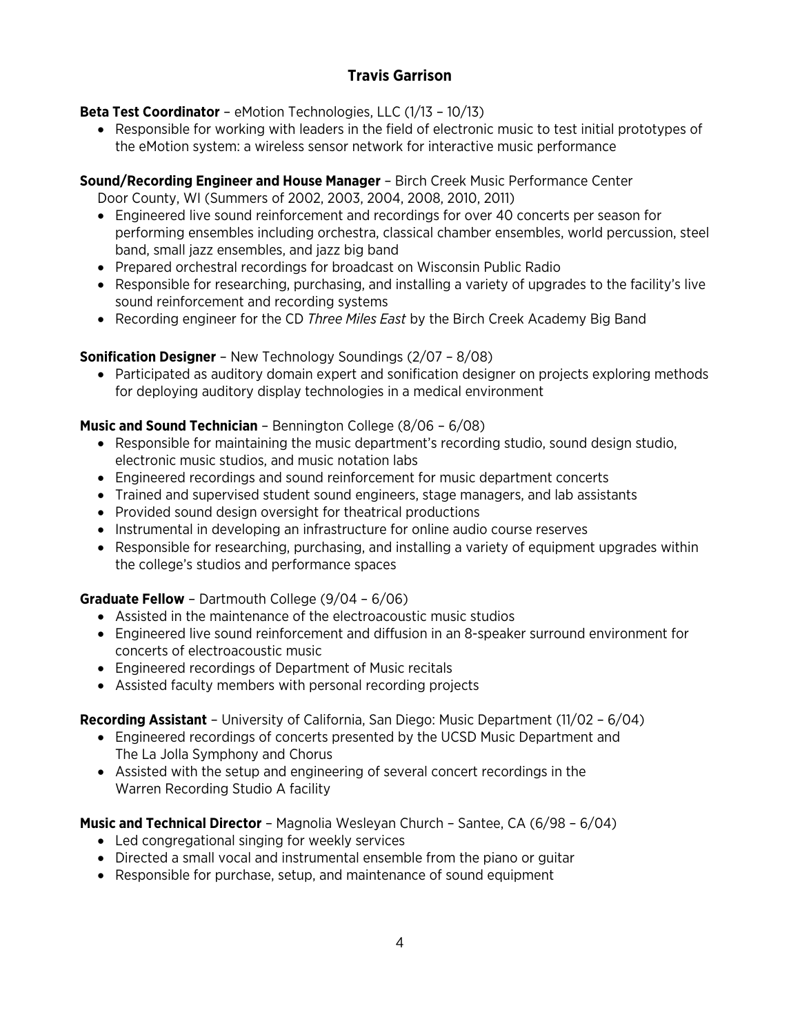#### **Beta Test Coordinator** – eMotion Technologies, LLC (1/13 – 10/13)

• Responsible for working with leaders in the field of electronic music to test initial prototypes of the eMotion system: a wireless sensor network for interactive music performance

## **Sound/Recording Engineer and House Manager** – Birch Creek Music Performance Center

Door County, WI (Summers of 2002, 2003, 2004, 2008, 2010, 2011)

- Engineered live sound reinforcement and recordings for over 40 concerts per season for performing ensembles including orchestra, classical chamber ensembles, world percussion, steel band, small jazz ensembles, and jazz big band
- Prepared orchestral recordings for broadcast on Wisconsin Public Radio
- Responsible for researching, purchasing, and installing a variety of upgrades to the facility's live sound reinforcement and recording systems
- Recording engineer for the CD *Three Miles East* by the Birch Creek Academy Big Band

## **Sonification Designer** – New Technology Soundings (2/07 – 8/08)

• Participated as auditory domain expert and sonification designer on projects exploring methods for deploying auditory display technologies in a medical environment

#### **Music and Sound Technician** – Bennington College (8/06 – 6/08)

- Responsible for maintaining the music department's recording studio, sound design studio, electronic music studios, and music notation labs
- Engineered recordings and sound reinforcement for music department concerts
- Trained and supervised student sound engineers, stage managers, and lab assistants
- Provided sound design oversight for theatrical productions
- Instrumental in developing an infrastructure for online audio course reserves
- Responsible for researching, purchasing, and installing a variety of equipment upgrades within the college's studios and performance spaces

#### **Graduate Fellow** – Dartmouth College (9/04 – 6/06)

- Assisted in the maintenance of the electroacoustic music studios
- Engineered live sound reinforcement and diffusion in an 8-speaker surround environment for concerts of electroacoustic music
- Engineered recordings of Department of Music recitals
- Assisted faculty members with personal recording projects

#### **Recording Assistant** – University of California, San Diego: Music Department (11/02 – 6/04)

- Engineered recordings of concerts presented by the UCSD Music Department and The La Jolla Symphony and Chorus
- Assisted with the setup and engineering of several concert recordings in the Warren Recording Studio A facility

**Music and Technical Director** – Magnolia Wesleyan Church – Santee, CA (6/98 – 6/04)

- Led congregational singing for weekly services
- Directed a small vocal and instrumental ensemble from the piano or guitar
- Responsible for purchase, setup, and maintenance of sound equipment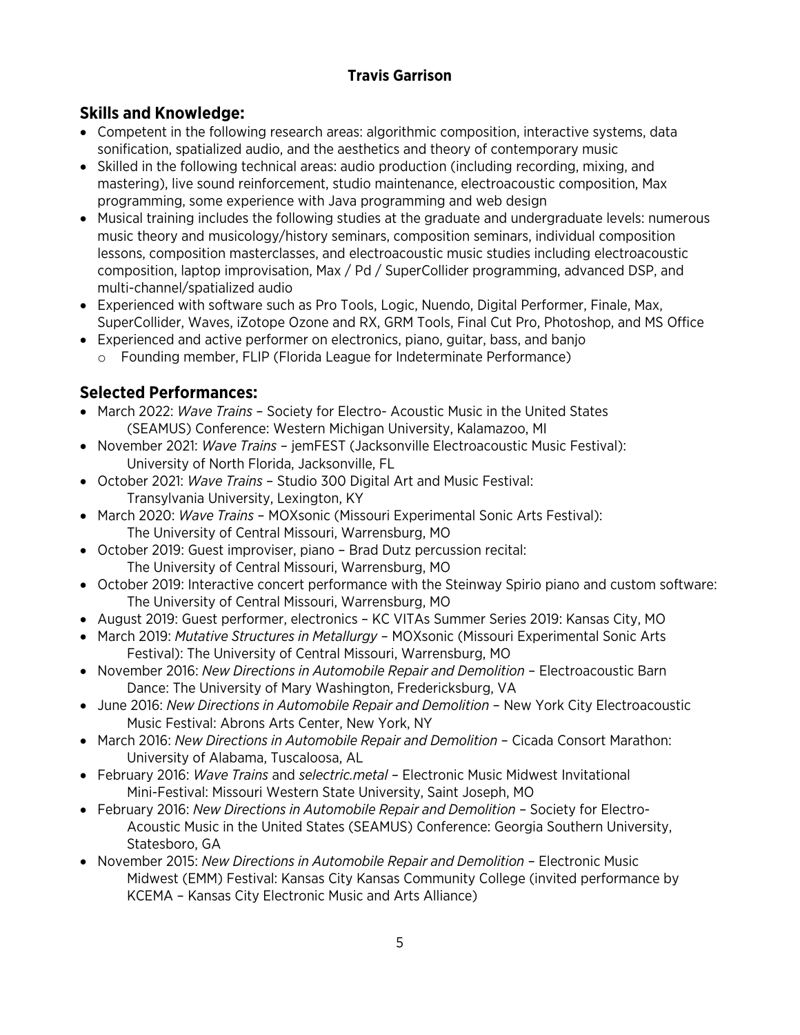# **Skills and Knowledge:**

- Competent in the following research areas: algorithmic composition, interactive systems, data sonification, spatialized audio, and the aesthetics and theory of contemporary music
- Skilled in the following technical areas: audio production (including recording, mixing, and mastering), live sound reinforcement, studio maintenance, electroacoustic composition, Max programming, some experience with Java programming and web design
- Musical training includes the following studies at the graduate and undergraduate levels: numerous music theory and musicology/history seminars, composition seminars, individual composition lessons, composition masterclasses, and electroacoustic music studies including electroacoustic composition, laptop improvisation, Max / Pd / SuperCollider programming, advanced DSP, and multi-channel/spatialized audio
- Experienced with software such as Pro Tools, Logic, Nuendo, Digital Performer, Finale, Max, SuperCollider, Waves, iZotope Ozone and RX, GRM Tools, Final Cut Pro, Photoshop, and MS Office
- Experienced and active performer on electronics, piano, guitar, bass, and banjo
	- o Founding member, FLIP (Florida League for Indeterminate Performance)

# **Selected Performances:**

- March 2022: *Wave Trains* Society for Electro- Acoustic Music in the United States (SEAMUS) Conference: Western Michigan University, Kalamazoo, MI
- November 2021: *Wave Trains* jemFEST (Jacksonville Electroacoustic Music Festival): University of North Florida, Jacksonville, FL
- October 2021: *Wave Trains* Studio 300 Digital Art and Music Festival: Transylvania University, Lexington, KY
- March 2020: *Wave Trains* MOXsonic (Missouri Experimental Sonic Arts Festival): The University of Central Missouri, Warrensburg, MO
- October 2019: Guest improviser, piano Brad Dutz percussion recital: The University of Central Missouri, Warrensburg, MO
- October 2019: Interactive concert performance with the Steinway Spirio piano and custom software: The University of Central Missouri, Warrensburg, MO
- August 2019: Guest performer, electronics KC VITAs Summer Series 2019: Kansas City, MO
- March 2019: *Mutative Structures in Metallurgy* MOXsonic (Missouri Experimental Sonic Arts Festival): The University of Central Missouri, Warrensburg, MO
- November 2016: *New Directions in Automobile Repair and Demolition* Electroacoustic Barn Dance: The University of Mary Washington, Fredericksburg, VA
- June 2016: *New Directions in Automobile Repair and Demolition* New York City Electroacoustic Music Festival: Abrons Arts Center, New York, NY
- March 2016: *New Directions in Automobile Repair and Demolition* Cicada Consort Marathon: University of Alabama, Tuscaloosa, AL
- February 2016: *Wave Trains* and *selectric.metal* Electronic Music Midwest Invitational Mini-Festival: Missouri Western State University, Saint Joseph, MO
- February 2016: *New Directions in Automobile Repair and Demolition* Society for Electro-Acoustic Music in the United States (SEAMUS) Conference: Georgia Southern University, Statesboro, GA
- November 2015: *New Directions in Automobile Repair and Demolition* Electronic Music Midwest (EMM) Festival: Kansas City Kansas Community College (invited performance by KCEMA – Kansas City Electronic Music and Arts Alliance)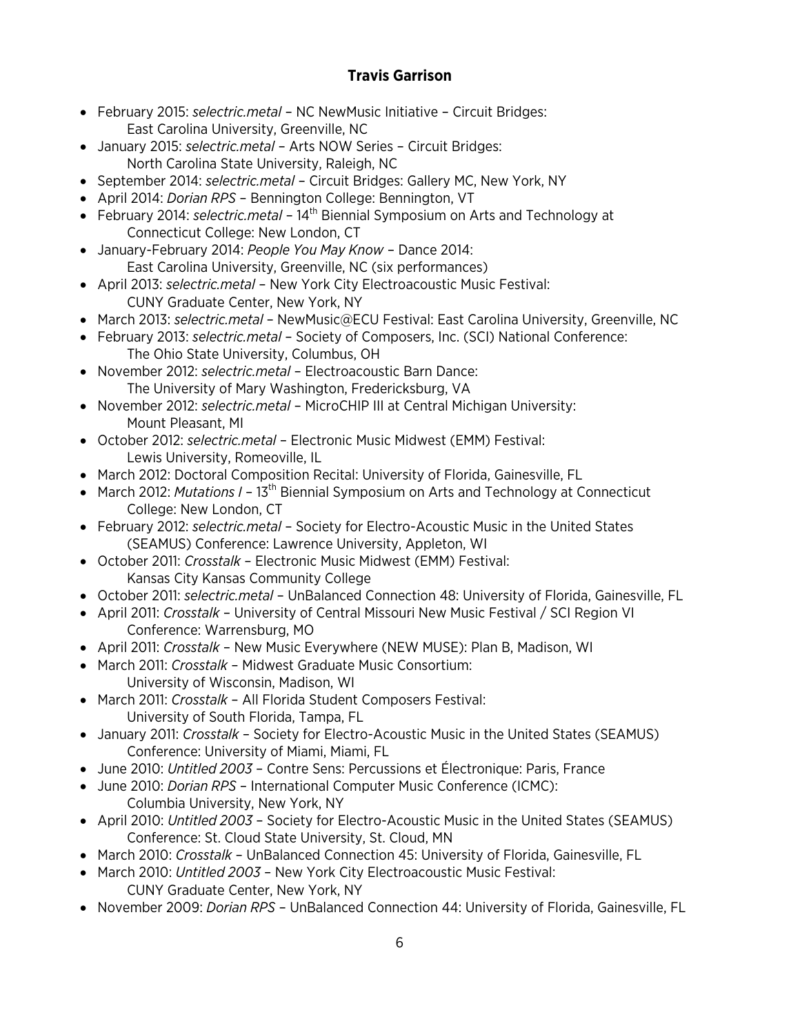- February 2015: *selectric.metal* NC NewMusic Initiative Circuit Bridges: East Carolina University, Greenville, NC
- January 2015: *selectric.metal* Arts NOW Series Circuit Bridges: North Carolina State University, Raleigh, NC
- September 2014: *selectric.metal* Circuit Bridges: Gallery MC, New York, NY
- April 2014: *Dorian RPS* Bennington College: Bennington, VT
- February 2014: *selectric.metal* 14<sup>th</sup> Biennial Symposium on Arts and Technology at Connecticut College: New London, CT
- January-February 2014: *People You May Know* Dance 2014: East Carolina University, Greenville, NC (six performances)
- April 2013: *selectric.metal* New York City Electroacoustic Music Festival: CUNY Graduate Center, New York, NY
- March 2013: *selectric.metal*  NewMusic@ECU Festival: East Carolina University, Greenville, NC
- February 2013: *selectric.metal* Society of Composers, Inc. (SCI) National Conference: The Ohio State University, Columbus, OH
- November 2012: *selectric.metal* Electroacoustic Barn Dance: The University of Mary Washington, Fredericksburg, VA
- November 2012: *selectric.metal* MicroCHIP III at Central Michigan University: Mount Pleasant, MI
- October 2012: *selectric.metal* Electronic Music Midwest (EMM) Festival: Lewis University, Romeoville, IL
- March 2012: Doctoral Composition Recital: University of Florida, Gainesville, FL
- March 2012: *Mutations I* 13<sup>th</sup> Biennial Symposium on Arts and Technology at Connecticut College: New London, CT
- February 2012: *selectric.metal* Society for Electro-Acoustic Music in the United States (SEAMUS) Conference: Lawrence University, Appleton, WI
- October 2011: *Crosstalk* Electronic Music Midwest (EMM) Festival: Kansas City Kansas Community College
- October 2011: *selectric.metal* UnBalanced Connection 48: University of Florida, Gainesville, FL
- April 2011: *Crosstalk* University of Central Missouri New Music Festival / SCI Region VI Conference: Warrensburg, MO
- April 2011: *Crosstalk* New Music Everywhere (NEW MUSE): Plan B, Madison, WI
- March 2011: *Crosstalk* Midwest Graduate Music Consortium: University of Wisconsin, Madison, WI
- March 2011: *Crosstalk* All Florida Student Composers Festival: University of South Florida, Tampa, FL
- January 2011: *Crosstalk* Society for Electro-Acoustic Music in the United States (SEAMUS) Conference: University of Miami, Miami, FL
- June 2010: *Untitled 2003* Contre Sens: Percussions et Électronique: Paris, France
- June 2010: *Dorian RPS* International Computer Music Conference (ICMC): Columbia University, New York, NY
- April 2010: *Untitled 2003* Society for Electro-Acoustic Music in the United States (SEAMUS) Conference: St. Cloud State University, St. Cloud, MN
- March 2010: *Crosstalk* UnBalanced Connection 45: University of Florida, Gainesville, FL
- March 2010: *Untitled 2003* New York City Electroacoustic Music Festival: CUNY Graduate Center, New York, NY
- November 2009: *Dorian RPS* UnBalanced Connection 44: University of Florida, Gainesville, FL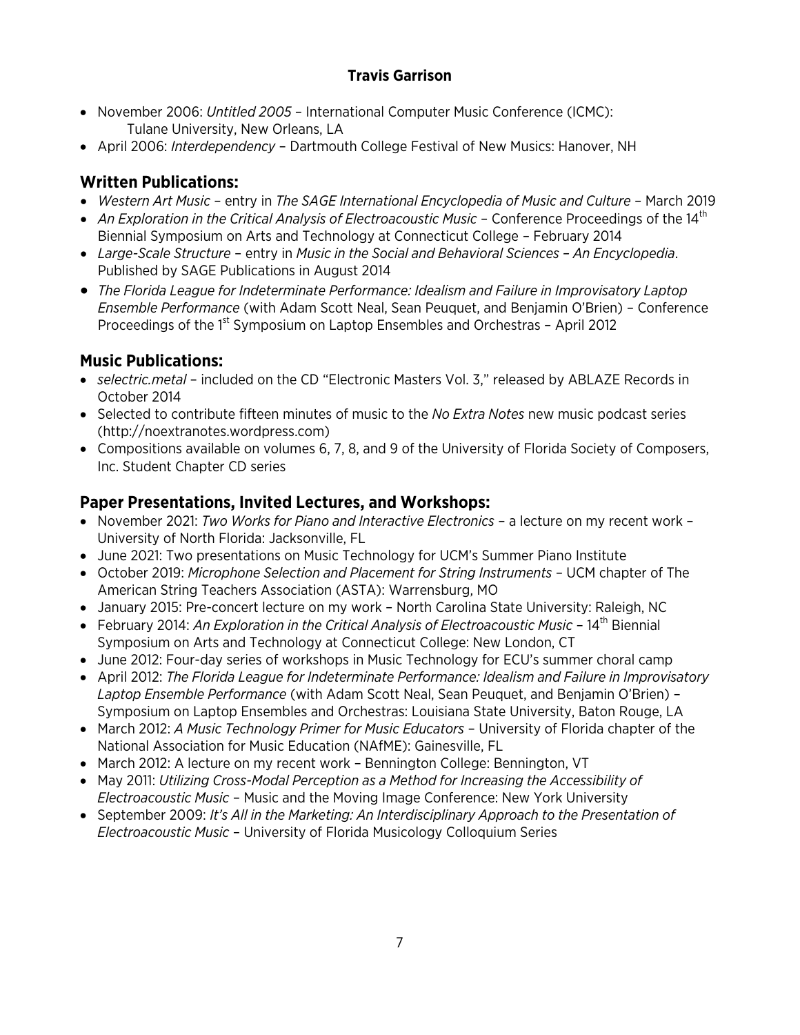- November 2006: *Untitled 2005* International Computer Music Conference (ICMC): Tulane University, New Orleans, LA
- April 2006: *Interdependency* Dartmouth College Festival of New Musics: Hanover, NH

# **Written Publications:**

- *Western Art Music* entry in *The SAGE International Encyclopedia of Music and Culture* March 2019
- An Exploration in the Critical Analysis of Electroacoustic Music Conference Proceedings of the 14<sup>th</sup> Biennial Symposium on Arts and Technology at Connecticut College – February 2014
- *Large-Scale Structure* entry in *Music in the Social and Behavioral Sciences – An Encyclopedia*. Published by SAGE Publications in August 2014
- *The Florida League for Indeterminate Performance: Idealism and Failure in Improvisatory Laptop Ensemble Performance* (with Adam Scott Neal, Sean Peuquet, and Benjamin O'Brien) – Conference Proceedings of the 1<sup>st</sup> Symposium on Laptop Ensembles and Orchestras - April 2012

# **Music Publications:**

- *selectric.metal* included on the CD "Electronic Masters Vol. 3," released by ABLAZE Records in October 2014
- Selected to contribute fifteen minutes of music to the *No Extra Notes* new music podcast series (http://noextranotes.wordpress.com)
- Compositions available on volumes 6, 7, 8, and 9 of the University of Florida Society of Composers, Inc. Student Chapter CD series

# **Paper Presentations, Invited Lectures, and Workshops:**

- November 2021: *Two Works for Piano and Interactive Electronics* a lecture on my recent work University of North Florida: Jacksonville, FL
- June 2021: Two presentations on Music Technology for UCM's Summer Piano Institute
- October 2019: *Microphone Selection and Placement for String Instruments* UCM chapter of The American String Teachers Association (ASTA): Warrensburg, MO
- January 2015: Pre-concert lecture on my work North Carolina State University: Raleigh, NC
- February 2014: *An Exploration in the Critical Analysis of Electroacoustic Music* 14<sup>th</sup> Biennial Symposium on Arts and Technology at Connecticut College: New London, CT
- June 2012: Four-day series of workshops in Music Technology for ECU's summer choral camp
- April 2012: *The Florida League for Indeterminate Performance: Idealism and Failure in Improvisatory Laptop Ensemble Performance* (with Adam Scott Neal, Sean Peuquet, and Benjamin O'Brien) – Symposium on Laptop Ensembles and Orchestras: Louisiana State University, Baton Rouge, LA
- March 2012: *A Music Technology Primer for Music Educators* University of Florida chapter of the National Association for Music Education (NAfME): Gainesville, FL
- March 2012: A lecture on my recent work Bennington College: Bennington, VT
- May 2011: *Utilizing Cross-Modal Perception as a Method for Increasing the Accessibility of Electroacoustic Music* – Music and the Moving Image Conference: New York University
- September 2009: *It's All in the Marketing: An Interdisciplinary Approach to the Presentation of Electroacoustic Music* – University of Florida Musicology Colloquium Series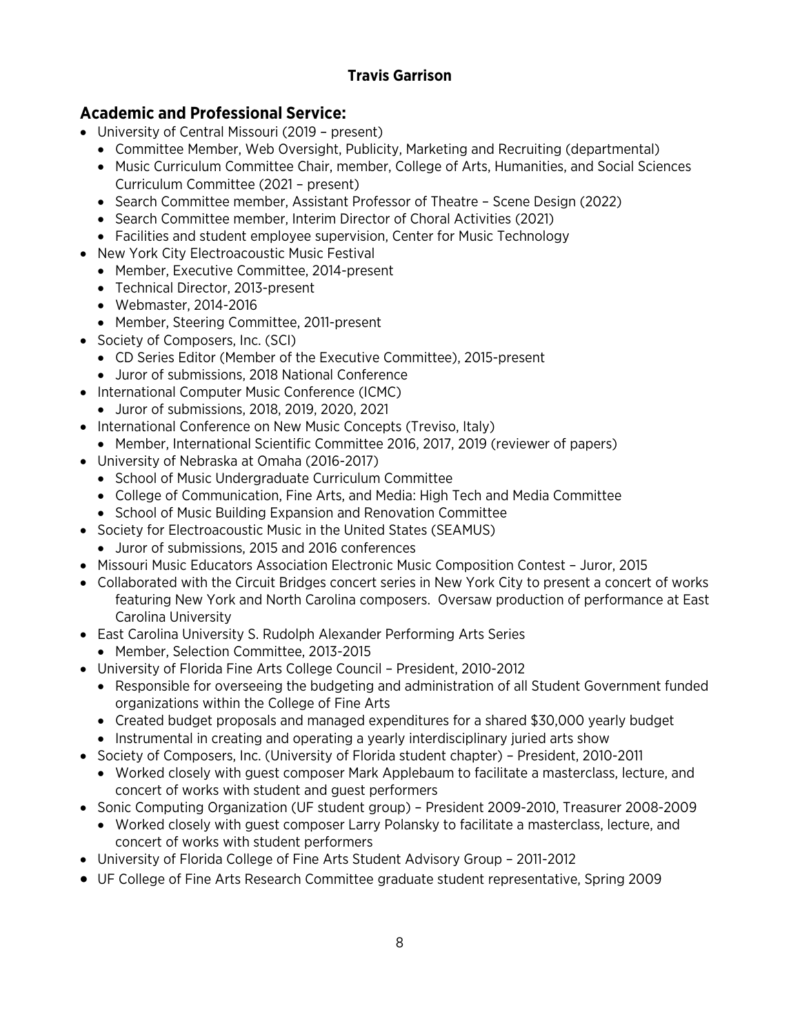# **Academic and Professional Service:**

- University of Central Missouri (2019 present)
	- Committee Member, Web Oversight, Publicity, Marketing and Recruiting (departmental)
	- Music Curriculum Committee Chair, member, College of Arts, Humanities, and Social Sciences Curriculum Committee (2021 – present)
	- Search Committee member, Assistant Professor of Theatre Scene Design (2022)
	- Search Committee member, Interim Director of Choral Activities (2021)
	- Facilities and student employee supervision, Center for Music Technology
- New York City Electroacoustic Music Festival
	- Member, Executive Committee, 2014-present
	- Technical Director, 2013-present
	- Webmaster, 2014-2016
	- Member, Steering Committee, 2011-present
- Society of Composers, Inc. (SCI)
	- CD Series Editor (Member of the Executive Committee), 2015-present
	- Juror of submissions, 2018 National Conference
- International Computer Music Conference (ICMC)
	- Juror of submissions, 2018, 2019, 2020, 2021
- International Conference on New Music Concepts (Treviso, Italy)
	- Member, International Scientific Committee 2016, 2017, 2019 (reviewer of papers)
- University of Nebraska at Omaha (2016-2017)
	- School of Music Undergraduate Curriculum Committee
	- College of Communication, Fine Arts, and Media: High Tech and Media Committee
	- School of Music Building Expansion and Renovation Committee
- Society for Electroacoustic Music in the United States (SEAMUS)
	- Juror of submissions, 2015 and 2016 conferences
- Missouri Music Educators Association Electronic Music Composition Contest Juror, 2015
- Collaborated with the Circuit Bridges concert series in New York City to present a concert of works featuring New York and North Carolina composers. Oversaw production of performance at East Carolina University
- East Carolina University S. Rudolph Alexander Performing Arts Series
	- Member, Selection Committee, 2013-2015
- University of Florida Fine Arts College Council President, 2010-2012
	- Responsible for overseeing the budgeting and administration of all Student Government funded organizations within the College of Fine Arts
	- Created budget proposals and managed expenditures for a shared \$30,000 yearly budget
	- Instrumental in creating and operating a yearly interdisciplinary juried arts show
- Society of Composers, Inc. (University of Florida student chapter) President, 2010-2011
	- Worked closely with guest composer Mark Applebaum to facilitate a masterclass, lecture, and concert of works with student and guest performers
- Sonic Computing Organization (UF student group) President 2009-2010, Treasurer 2008-2009
	- Worked closely with guest composer Larry Polansky to facilitate a masterclass, lecture, and concert of works with student performers
- University of Florida College of Fine Arts Student Advisory Group 2011-2012
- UF College of Fine Arts Research Committee graduate student representative, Spring 2009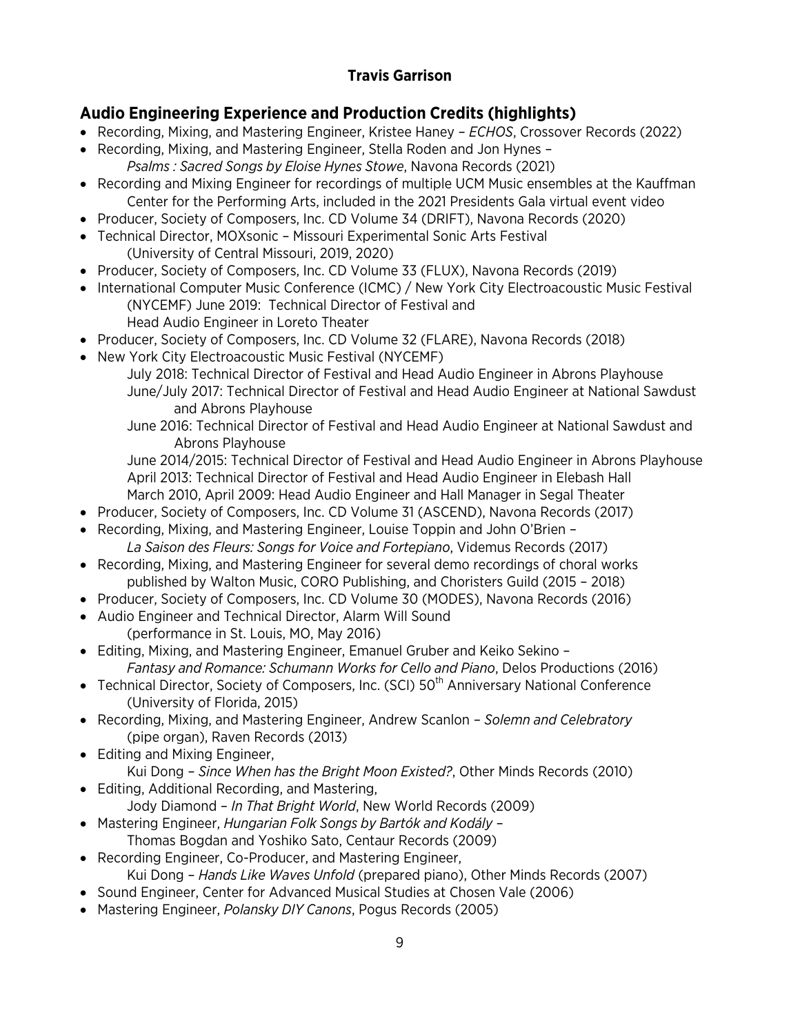# **Audio Engineering Experience and Production Credits (highlights)**

- Recording, Mixing, and Mastering Engineer, Kristee Haney *ECHOS*, Crossover Records (2022)
- Recording, Mixing, and Mastering Engineer, Stella Roden and Jon Hynes *Psalms : Sacred Songs by Eloise Hynes Stowe*, Navona Records (2021)
- Recording and Mixing Engineer for recordings of multiple UCM Music ensembles at the Kauffman Center for the Performing Arts, included in the 2021 Presidents Gala virtual event video
- Producer, Society of Composers, Inc. CD Volume 34 (DRIFT), Navona Records (2020)
- Technical Director, MOXsonic Missouri Experimental Sonic Arts Festival (University of Central Missouri, 2019, 2020)
- Producer, Society of Composers, Inc. CD Volume 33 (FLUX), Navona Records (2019)
- International Computer Music Conference (ICMC) / New York City Electroacoustic Music Festival (NYCEMF) June 2019: Technical Director of Festival and
	- Head Audio Engineer in Loreto Theater
- Producer, Society of Composers, Inc. CD Volume 32 (FLARE), Navona Records (2018)
- New York City Electroacoustic Music Festival (NYCEMF)
	- July 2018: Technical Director of Festival and Head Audio Engineer in Abrons Playhouse June/July 2017: Technical Director of Festival and Head Audio Engineer at National Sawdust and Abrons Playhouse
	- June 2016: Technical Director of Festival and Head Audio Engineer at National Sawdust and Abrons Playhouse

June 2014/2015: Technical Director of Festival and Head Audio Engineer in Abrons Playhouse April 2013: Technical Director of Festival and Head Audio Engineer in Elebash Hall March 2010, April 2009: Head Audio Engineer and Hall Manager in Segal Theater

- Producer, Society of Composers, Inc. CD Volume 31 (ASCEND), Navona Records (2017)
- Recording, Mixing, and Mastering Engineer, Louise Toppin and John O'Brien *La Saison des Fleurs: Songs for Voice and Fortepiano*, Videmus Records (2017)
- Recording, Mixing, and Mastering Engineer for several demo recordings of choral works published by Walton Music, CORO Publishing, and Choristers Guild (2015 – 2018)
- Producer, Society of Composers, Inc. CD Volume 30 (MODES), Navona Records (2016)
- Audio Engineer and Technical Director, Alarm Will Sound (performance in St. Louis, MO, May 2016)
- Editing, Mixing, and Mastering Engineer, Emanuel Gruber and Keiko Sekino *Fantasy and Romance: Schumann Works for Cello and Piano*, Delos Productions (2016)
- Technical Director, Society of Composers, Inc. (SCI) 50<sup>th</sup> Anniversary National Conference (University of Florida, 2015)
- Recording, Mixing, and Mastering Engineer, Andrew Scanlon *Solemn and Celebratory* (pipe organ), Raven Records (2013)
- Editing and Mixing Engineer, Kui Dong – *Since When has the Bright Moon Existed?*, Other Minds Records (2010)
- Editing, Additional Recording, and Mastering, Jody Diamond – *In That Bright World*, New World Records (2009)
- Mastering Engineer, *Hungarian Folk Songs by Bartók and Kodály* Thomas Bogdan and Yoshiko Sato, Centaur Records (2009)
- Recording Engineer, Co-Producer, and Mastering Engineer, Kui Dong – *Hands Like Waves Unfold* (prepared piano), Other Minds Records (2007)
- Sound Engineer, Center for Advanced Musical Studies at Chosen Vale (2006)
- Mastering Engineer, *Polansky DIY Canons*, Pogus Records (2005)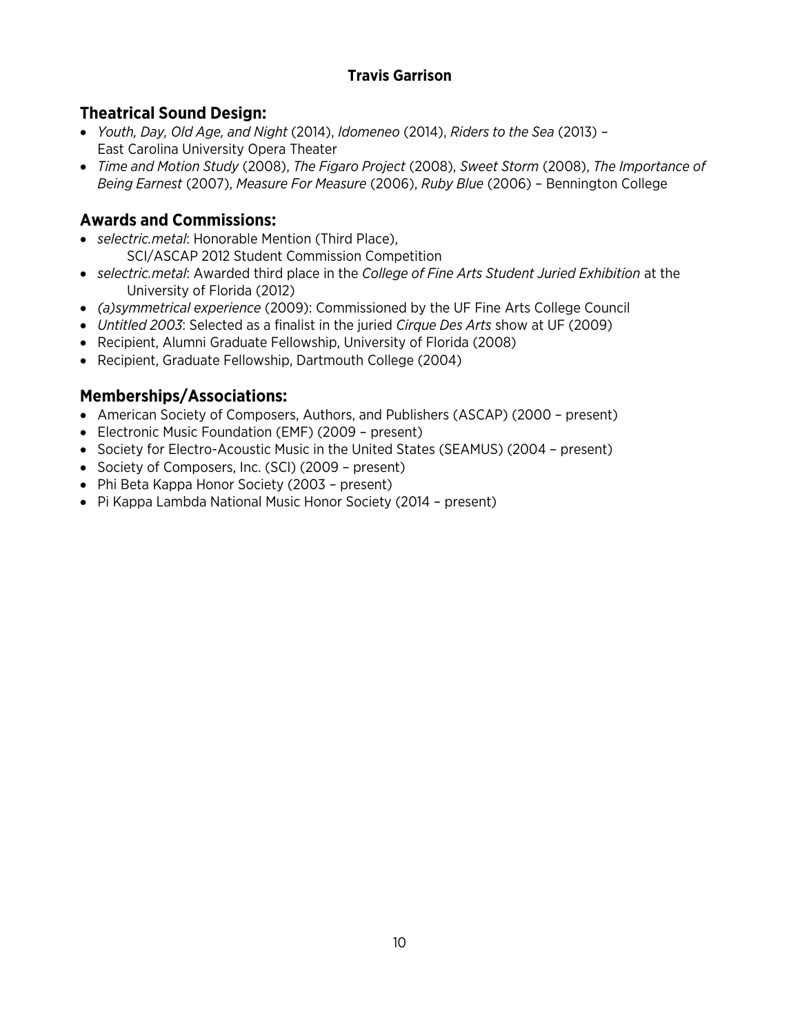# **Theatrical Sound Design:**

- *Youth, Day, Old Age, and Night* (2014), *Idomeneo* (2014), *Riders to the Sea* (2013) East Carolina University Opera Theater
- *Time and Motion Study* (2008), *The Figaro Project* (2008), *Sweet Storm* (2008), *The Importance of Being Earnest* (2007), *Measure For Measure* (2006), *Ruby Blue* (2006) – Bennington College

# **Awards and Commissions:**

- *selectric.metal*: Honorable Mention (Third Place),
	- SCI/ASCAP 2012 Student Commission Competition
- *selectric.metal*: Awarded third place in the *College of Fine Arts Student Juried Exhibition* at the University of Florida (2012)
- *(a)symmetrical experience* (2009): Commissioned by the UF Fine Arts College Council
- *Untitled 2003*: Selected as a finalist in the juried *Cirque Des Arts* show at UF (2009)
- Recipient, Alumni Graduate Fellowship, University of Florida (2008)
- Recipient, Graduate Fellowship, Dartmouth College (2004)

# **Memberships/Associations:**

- American Society of Composers, Authors, and Publishers (ASCAP) (2000 present)
- Electronic Music Foundation (EMF) (2009 present)
- Society for Electro-Acoustic Music in the United States (SEAMUS) (2004 present)
- Society of Composers, Inc. (SCI) (2009 present)
- Phi Beta Kappa Honor Society (2003 present)
- Pi Kappa Lambda National Music Honor Society (2014 present)